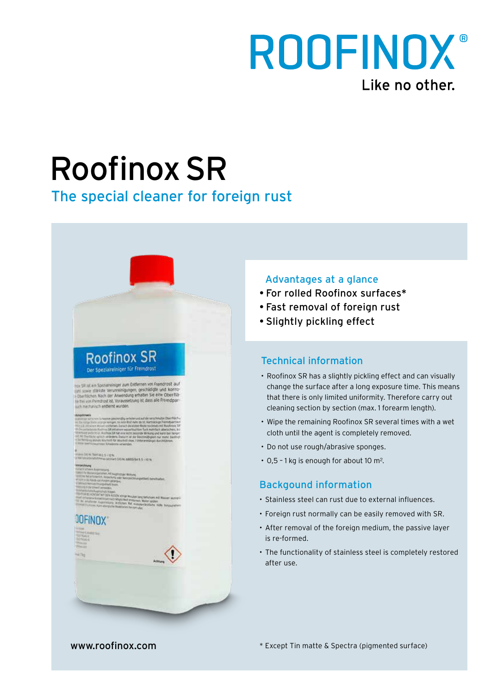

# RoofinoxSR

# The special cleaner for foreign rust

## Roofinox SR has Coantainginings für Fremdro

niger zum Entfe stärkste Verunreinigungen, geschädigte und korro<br>en Nach der Anwendung erhalten Sie eine Otberflä in Fremdrost ist. Voraussetzung ist

# JOFINOX

## Advantages at a glance

- For rolled Roofinox surfaces\*
- Fast removal of foreign rust
- Slightly pickling effect

## Technical information

- Roofinox SR has a slightly pickling effect and can visually change the surface after a long exposure time. This means that there is only limited uniformity. Therefore carry out cleaning section by section (max. 1 forearm length).
- Wipe the remaining Roofinox SR several times with a wet cloth until the agent is completely removed.
- Do not use rough/abrasive sponges.
- 0,5 1 kg is enough for about 10 m².

## Backgound information

- Stainless steel can rust due to external influences.
- Foreign rust normally can be easily removed with SR.
- After removal of the foreign medium, the passive layer is re-formed.
- The functionality of stainless steel is completely restored after use.

www.roofinox.com \* Except Tin matte & Spectra (pigmented surface)